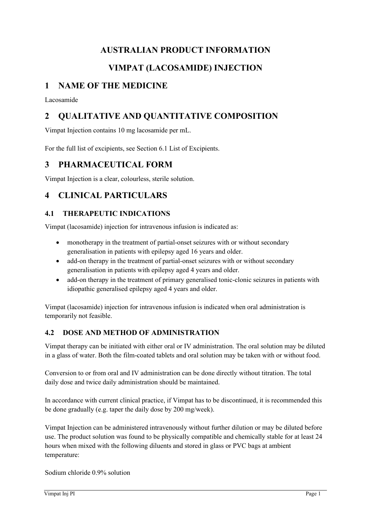# **AUSTRALIAN PRODUCT INFORMATION**

# **VIMPAT (LACOSAMIDE) INJECTION**

# **1 NAME OF THE MEDICINE**

Lacosamide

# **2 QUALITATIVE AND QUANTITATIVE COMPOSITION**

Vimpat Injection contains 10 mg lacosamide per mL.

For the full list of excipients, see Section 6.1 List of Excipients.

# **3 PHARMACEUTICAL FORM**

Vimpat Injection is a clear, colourless, sterile solution.

# **4 CLINICAL PARTICULARS**

# **4.1 THERAPEUTIC INDICATIONS**

Vimpat (lacosamide) injection for intravenous infusion is indicated as:

- monotherapy in the treatment of partial-onset seizures with or without secondary generalisation in patients with epilepsy aged 16 years and older.
- add-on therapy in the treatment of partial-onset seizures with or without secondary generalisation in patients with epilepsy aged 4 years and older.
- add-on therapy in the treatment of primary generalised tonic-clonic seizures in patients with idiopathic generalised epilepsy aged 4 years and older.

Vimpat (lacosamide) injection for intravenous infusion is indicated when oral administration is temporarily not feasible.

# **4.2 DOSE AND METHOD OF ADMINISTRATION**

Vimpat therapy can be initiated with either oral or IV administration. The oral solution may be diluted in a glass of water. Both the film-coated tablets and oral solution may be taken with or without food.

Conversion to or from oral and IV administration can be done directly without titration. The total daily dose and twice daily administration should be maintained.

In accordance with current clinical practice, if Vimpat has to be discontinued, it is recommended this be done gradually (e.g. taper the daily dose by 200 mg/week).

Vimpat Injection can be administered intravenously without further dilution or may be diluted before use. The product solution was found to be physically compatible and chemically stable for at least 24 hours when mixed with the following diluents and stored in glass or PVC bags at ambient temperature:

Sodium chloride 0.9% solution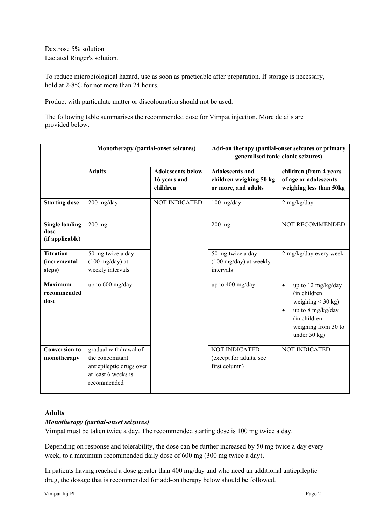Dextrose 5% solution Lactated Ringer's solution.

To reduce microbiological hazard, use as soon as practicable after preparation. If storage is necessary, hold at 2-8°C for not more than 24 hours.

Product with particulate matter or discolouration should not be used.

The following table summarises the recommended dose for Vimpat injection. More details are provided below.

|                                                  | Monotherapy (partial-onset seizures)                                                                       |                                                      | Add-on therapy (partial-onset seizures or primary<br>generalised tonic-clonic seizures) |                                                                                                                                                      |
|--------------------------------------------------|------------------------------------------------------------------------------------------------------------|------------------------------------------------------|-----------------------------------------------------------------------------------------|------------------------------------------------------------------------------------------------------------------------------------------------------|
|                                                  | <b>Adults</b>                                                                                              | <b>Adolescents below</b><br>16 years and<br>children | <b>Adolescents and</b><br>children weighing 50 kg<br>or more, and adults                | children (from 4 years<br>of age or adolescents<br>weighing less than 50kg                                                                           |
| <b>Starting dose</b>                             | 200 mg/day                                                                                                 | <b>NOT INDICATED</b>                                 | $100$ mg/day                                                                            | 2 mg/kg/day                                                                                                                                          |
| <b>Single loading</b><br>dose<br>(if applicable) | $200$ mg                                                                                                   |                                                      | $200$ mg                                                                                | NOT RECOMMENDED                                                                                                                                      |
| <b>Titration</b><br>(incremental<br>steps)       | 50 mg twice a day<br>$(100 \text{ mg/day})$ at<br>weekly intervals                                         |                                                      | 50 mg twice a day<br>(100 mg/day) at weekly<br>intervals                                | 2 mg/kg/day every week                                                                                                                               |
| <b>Maximum</b><br>recommended<br>dose            | up to 600 mg/day                                                                                           |                                                      | up to 400 mg/day                                                                        | up to 12 mg/kg/day<br>$\bullet$<br>(in children<br>weighing $<$ 30 kg)<br>up to 8 mg/kg/day<br>(in children<br>weighing from 30 to<br>under $50$ kg) |
| <b>Conversion to</b><br>monotherapy              | gradual withdrawal of<br>the concomitant<br>antiepileptic drugs over<br>at least 6 weeks is<br>recommended |                                                      | <b>NOT INDICATED</b><br>(except for adults, see<br>first column)                        | <b>NOT INDICATED</b>                                                                                                                                 |

### **Adults**

#### *Monotherapy (partial-onset seizures)*

Vimpat must be taken twice a day. The recommended starting dose is 100 mg twice a day.

Depending on response and tolerability, the dose can be further increased by 50 mg twice a day every week, to a maximum recommended daily dose of 600 mg (300 mg twice a day).

In patients having reached a dose greater than 400 mg/day and who need an additional antiepileptic drug, the dosage that is recommended for add-on therapy below should be followed.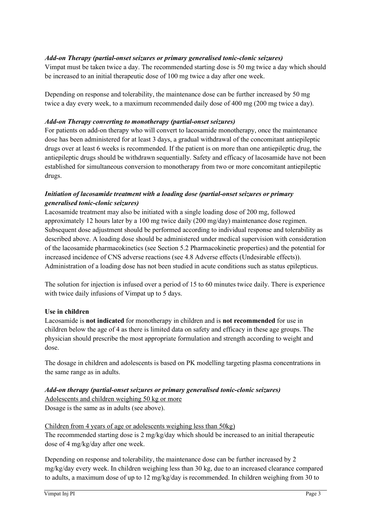# *Add-on Therapy (partial-onset seizures or primary generalised tonic-clonic seizures)*

Vimpat must be taken twice a day. The recommended starting dose is 50 mg twice a day which should be increased to an initial therapeutic dose of 100 mg twice a day after one week.

Depending on response and tolerability, the maintenance dose can be further increased by 50 mg twice a day every week, to a maximum recommended daily dose of 400 mg (200 mg twice a day).

### *Add-on Therapy converting to monotherapy (partial-onset seizures)*

For patients on add-on therapy who will convert to lacosamide monotherapy, once the maintenance dose has been administered for at least 3 days, a gradual withdrawal of the concomitant antiepileptic drugs over at least 6 weeks is recommended. If the patient is on more than one antiepileptic drug, the antiepileptic drugs should be withdrawn sequentially. Safety and efficacy of lacosamide have not been established for simultaneous conversion to monotherapy from two or more concomitant antiepileptic drugs.

# *Initiation of lacosamide treatment with a loading dose (partial-onset seizures or primary generalised tonic-clonic seizures)*

Lacosamide treatment may also be initiated with a single loading dose of 200 mg, followed approximately 12 hours later by a 100 mg twice daily (200 mg/day) maintenance dose regimen. Subsequent dose adjustment should be performed according to individual response and tolerability as described above. A loading dose should be administered under medical supervision with consideration of the lacosamide pharmacokinetics (see Section 5.2 Pharmacokinetic properties) and the potential for increased incidence of CNS adverse reactions (see 4.8 Adverse effects (Undesirable effects)). Administration of a loading dose has not been studied in acute conditions such as status epilepticus.

The solution for injection is infused over a period of 15 to 60 minutes twice daily. There is experience with twice daily infusions of Vimpat up to 5 days.

#### **Use in children**

Lacosamide is **not indicated** for monotherapy in children and is **not recommended** for use in children below the age of 4 as there is limited data on safety and efficacy in these age groups. The physician should prescribe the most appropriate formulation and strength according to weight and dose.

The dosage in children and adolescents is based on PK modelling targeting plasma concentrations in the same range as in adults.

# *Add-on therapy (partial-onset seizures or primary generalised tonic-clonic seizures)* Adolescents and children weighing 50 kg or more

Dosage is the same as in adults (see above).

# Children from 4 years of age or adolescents weighing less than 50kg)

The recommended starting dose is 2 mg/kg/day which should be increased to an initial therapeutic dose of 4 mg/kg/day after one week.

Depending on response and tolerability, the maintenance dose can be further increased by 2 mg/kg/day every week. In children weighing less than 30 kg, due to an increased clearance compared to adults, a maximum dose of up to 12 mg/kg/day is recommended. In children weighing from 30 to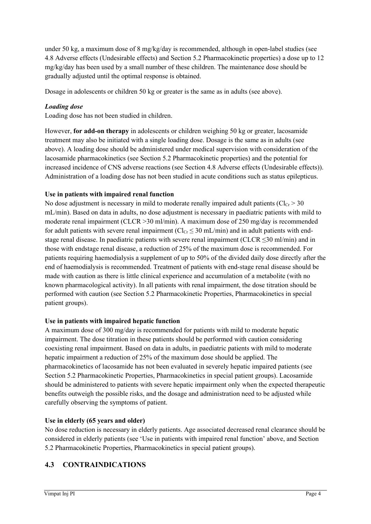under 50 kg, a maximum dose of 8 mg/kg/day is recommended, although in open-label studies (see 4.8 Adverse effects (Undesirable effects) and Section 5.2 Pharmacokinetic properties) a dose up to 12 mg/kg/day has been used by a small number of these children. The maintenance dose should be gradually adjusted until the optimal response is obtained.

Dosage in adolescents or children 50 kg or greater is the same as in adults (see above).

# *Loading dose*

Loading dose has not been studied in children.

However, **for add-on therapy** in adolescents or children weighing 50 kg or greater, lacosamide treatment may also be initiated with a single loading dose. Dosage is the same as in adults (see above). A loading dose should be administered under medical supervision with consideration of the lacosamide pharmacokinetics (see Section 5.2 Pharmacokinetic properties) and the potential for increased incidence of CNS adverse reactions (see Section 4.8 Adverse effects (Undesirable effects)). Administration of a loading dose has not been studied in acute conditions such as status epilepticus.

### **Use in patients with impaired renal function**

No dose adjustment is necessary in mild to moderate renally impaired adult patients ( $Cl<sub>Cr</sub> > 30$ ) mL/min). Based on data in adults, no dose adjustment is necessary in paediatric patients with mild to moderate renal impairment (CLCR > 30 ml/min). A maximum dose of 250 mg/day is recommended for adult patients with severe renal impairment  $(Cl_{Cr} \leq 30 \text{ mL/min})$  and in adult patients with endstage renal disease. In paediatric patients with severe renal impairment (CLCR  $\leq$ 30 ml/min) and in those with endstage renal disease, a reduction of 25% of the maximum dose is recommended. For patients requiring haemodialysis a supplement of up to 50% of the divided daily dose directly after the end of haemodialysis is recommended. Treatment of patients with end-stage renal disease should be made with caution as there is little clinical experience and accumulation of a metabolite (with no known pharmacological activity). In all patients with renal impairment, the dose titration should be performed with caution (see Section 5.2 Pharmacokinetic Properties, Pharmacokinetics in special patient groups).

#### **Use in patients with impaired hepatic function**

A maximum dose of 300 mg/day is recommended for patients with mild to moderate hepatic impairment. The dose titration in these patients should be performed with caution considering coexisting renal impairment. Based on data in adults, in paediatric patients with mild to moderate hepatic impairment a reduction of 25% of the maximum dose should be applied. The pharmacokinetics of lacosamide has not been evaluated in severely hepatic impaired patients (see Section 5.2 Pharmacokinetic Properties, Pharmacokinetics in special patient groups). Lacosamide should be administered to patients with severe hepatic impairment only when the expected therapeutic benefits outweigh the possible risks, and the dosage and administration need to be adjusted while carefully observing the symptoms of patient.

#### **Use in elderly (65 years and older)**

No dose reduction is necessary in elderly patients. Age associated decreased renal clearance should be considered in elderly patients (see 'Use in patients with impaired renal function' above, and Section 5.2 Pharmacokinetic Properties, Pharmacokinetics in special patient groups).

# **4.3 CONTRAINDICATIONS**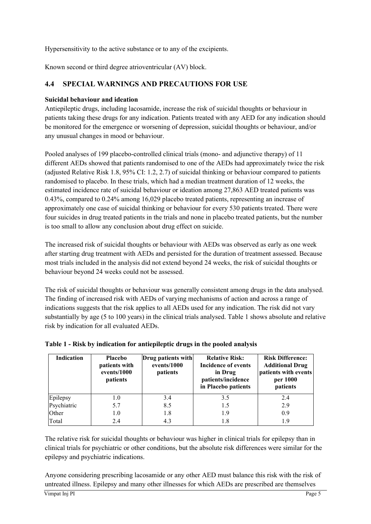Hypersensitivity to the active substance or to any of the excipients.

Known second or third degree atrioventricular (AV) block.

# **4.4 SPECIAL WARNINGS AND PRECAUTIONS FOR USE**

### **Suicidal behaviour and ideation**

Antiepileptic drugs, including lacosamide, increase the risk of suicidal thoughts or behaviour in patients taking these drugs for any indication. Patients treated with any AED for any indication should be monitored for the emergence or worsening of depression, suicidal thoughts or behaviour, and/or any unusual changes in mood or behaviour.

Pooled analyses of 199 placebo-controlled clinical trials (mono- and adjunctive therapy) of 11 different AEDs showed that patients randomised to one of the AEDs had approximately twice the risk (adjusted Relative Risk 1.8, 95% CI: 1.2, 2.7) of suicidal thinking or behaviour compared to patients randomised to placebo. In these trials, which had a median treatment duration of 12 weeks, the estimated incidence rate of suicidal behaviour or ideation among 27,863 AED treated patients was 0.43%, compared to 0.24% among 16,029 placebo treated patients, representing an increase of approximately one case of suicidal thinking or behaviour for every 530 patients treated. There were four suicides in drug treated patients in the trials and none in placebo treated patients, but the number is too small to allow any conclusion about drug effect on suicide.

The increased risk of suicidal thoughts or behaviour with AEDs was observed as early as one week after starting drug treatment with AEDs and persisted for the duration of treatment assessed. Because most trials included in the analysis did not extend beyond 24 weeks, the risk of suicidal thoughts or behaviour beyond 24 weeks could not be assessed.

The risk of suicidal thoughts or behaviour was generally consistent among drugs in the data analysed. The finding of increased risk with AEDs of varying mechanisms of action and across a range of indications suggests that the risk applies to all AEDs used for any indication. The risk did not vary substantially by age (5 to 100 years) in the clinical trials analysed. Table 1 shows absolute and relative risk by indication for all evaluated AEDs.

| Indication  | <b>Placebo</b><br>patients with<br>events/1000<br>patients | Drug patients with<br>events/1000<br>patients | <b>Relative Risk:</b><br>Incidence of events<br>in Drug<br>patients/incidence<br>in Placebo patients | <b>Risk Difference:</b><br><b>Additional Drug</b><br>patients with events<br>per 1000<br>patients |
|-------------|------------------------------------------------------------|-----------------------------------------------|------------------------------------------------------------------------------------------------------|---------------------------------------------------------------------------------------------------|
| Epilepsy    | 1.0                                                        | 3.4                                           | 3.5                                                                                                  | 2.4                                                                                               |
| Psychiatric | 5.7                                                        | 8.5                                           | 1.5                                                                                                  | 2.9                                                                                               |
| Other       | 1.0                                                        | 1.8                                           | 1.9                                                                                                  | 0.9                                                                                               |
| Total       | 2.4                                                        | 4.3                                           | 1.8                                                                                                  | 1.9                                                                                               |

#### **Table 1 - Risk by indication for antiepileptic drugs in the pooled analysis**

The relative risk for suicidal thoughts or behaviour was higher in clinical trials for epilepsy than in clinical trials for psychiatric or other conditions, but the absolute risk differences were similar for the epilepsy and psychiatric indications.

Anyone considering prescribing lacosamide or any other AED must balance this risk with the risk of untreated illness. Epilepsy and many other illnesses for which AEDs are prescribed are themselves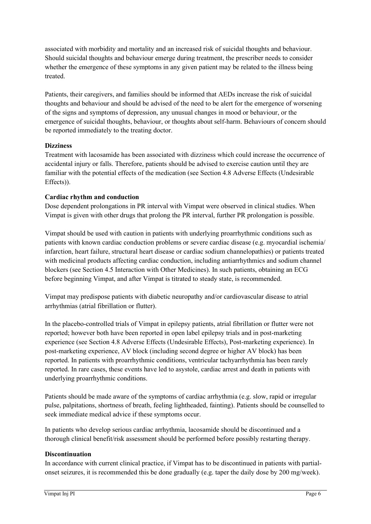associated with morbidity and mortality and an increased risk of suicidal thoughts and behaviour. Should suicidal thoughts and behaviour emerge during treatment, the prescriber needs to consider whether the emergence of these symptoms in any given patient may be related to the illness being treated.

Patients, their caregivers, and families should be informed that AEDs increase the risk of suicidal thoughts and behaviour and should be advised of the need to be alert for the emergence of worsening of the signs and symptoms of depression, any unusual changes in mood or behaviour, or the emergence of suicidal thoughts, behaviour, or thoughts about self-harm. Behaviours of concern should be reported immediately to the treating doctor.

### **Dizziness**

Treatment with lacosamide has been associated with dizziness which could increase the occurrence of accidental injury or falls. Therefore, patients should be advised to exercise caution until they are familiar with the potential effects of the medication (see Section 4.8 Adverse Effects (Undesirable Effects)).

#### **Cardiac rhythm and conduction**

Dose dependent prolongations in PR interval with Vimpat were observed in clinical studies. When Vimpat is given with other drugs that prolong the PR interval, further PR prolongation is possible.

Vimpat should be used with caution in patients with underlying proarrhythmic conditions such as patients with known cardiac conduction problems or severe cardiac disease (e.g. myocardial ischemia/ infarction, heart failure, structural heart disease or cardiac sodium channelopathies) or patients treated with medicinal products affecting cardiac conduction, including antiarrhythmics and sodium channel blockers (see Section 4.5 Interaction with Other Medicines). In such patients, obtaining an ECG before beginning Vimpat, and after Vimpat is titrated to steady state, is recommended.

Vimpat may predispose patients with diabetic neuropathy and/or cardiovascular disease to atrial arrhythmias (atrial fibrillation or flutter).

In the placebo-controlled trials of Vimpat in epilepsy patients, atrial fibrillation or flutter were not reported; however both have been reported in open label epilepsy trials and in post-marketing experience (see Section 4.8 Adverse Effects (Undesirable Effects), Post-marketing experience). In post-marketing experience, AV block (including second degree or higher AV block) has been reported. In patients with proarrhythmic conditions, ventricular tachyarrhythmia has been rarely reported. In rare cases, these events have led to asystole, cardiac arrest and death in patients with underlying proarrhythmic conditions.

Patients should be made aware of the symptoms of cardiac arrhythmia (e.g. slow, rapid or irregular pulse, palpitations, shortness of breath, feeling lightheaded, fainting). Patients should be counselled to seek immediate medical advice if these symptoms occur.

In patients who develop serious cardiac arrhythmia, lacosamide should be discontinued and a thorough clinical benefit/risk assessment should be performed before possibly restarting therapy.

#### **Discontinuation**

In accordance with current clinical practice, if Vimpat has to be discontinued in patients with partialonset seizures, it is recommended this be done gradually (e.g. taper the daily dose by 200 mg/week).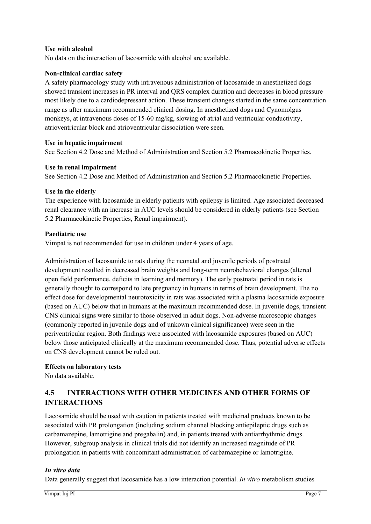#### **Use with alcohol**

No data on the interaction of lacosamide with alcohol are available.

#### **Non-clinical cardiac safety**

A safety pharmacology study with intravenous administration of lacosamide in anesthetized dogs showed transient increases in PR interval and QRS complex duration and decreases in blood pressure most likely due to a cardiodepressant action. These transient changes started in the same concentration range as after maximum recommended clinical dosing. In anesthetized dogs and Cynomolgus monkeys, at intravenous doses of 15-60 mg/kg, slowing of atrial and ventricular conductivity, atrioventricular block and atrioventricular dissociation were seen.

#### **Use in hepatic impairment**

See Section 4.2 Dose and Method of Administration and Section 5.2 Pharmacokinetic Properties.

#### **Use in renal impairment**

See Section 4.2 Dose and Method of Administration and Section 5.2 Pharmacokinetic Properties.

#### **Use in the elderly**

The experience with lacosamide in elderly patients with epilepsy is limited. Age associated decreased renal clearance with an increase in AUC levels should be considered in elderly patients (see Section 5.2 Pharmacokinetic Properties, Renal impairment).

#### **Paediatric use**

Vimpat is not recommended for use in children under 4 years of age.

Administration of lacosamide to rats during the neonatal and juvenile periods of postnatal development resulted in decreased brain weights and long-term neurobehavioral changes (altered open field performance, deficits in learning and memory). The early postnatal period in rats is generally thought to correspond to late pregnancy in humans in terms of brain development. The no effect dose for developmental neurotoxicity in rats was associated with a plasma lacosamide exposure (based on AUC) below that in humans at the maximum recommended dose. In juvenile dogs, transient CNS clinical signs were similar to those observed in adult dogs. Non-adverse microscopic changes (commonly reported in juvenile dogs and of unkown clinical significance) were seen in the periventricular region. Both findings were associated with lacosamide exposures (based on AUC) below those anticipated clinically at the maximum recommended dose. Thus, potential adverse effects on CNS development cannot be ruled out.

#### **Effects on laboratory tests**

No data available.

# **4.5 INTERACTIONS WITH OTHER MEDICINES AND OTHER FORMS OF INTERACTIONS**

Lacosamide should be used with caution in patients treated with medicinal products known to be associated with PR prolongation (including sodium channel blocking antiepileptic drugs such as carbamazepine, lamotrigine and pregabalin) and, in patients treated with antiarrhythmic drugs. However, subgroup analysis in clinical trials did not identify an increased magnitude of PR prolongation in patients with concomitant administration of carbamazepine or lamotrigine.

#### *In vitro data*

Data generally suggest that lacosamide has a low interaction potential. *In vitro* metabolism studies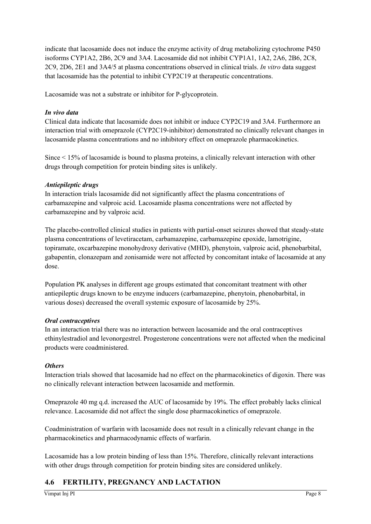indicate that lacosamide does not induce the enzyme activity of drug metabolizing cytochrome P450 isoforms CYP1A2, 2B6, 2C9 and 3A4. Lacosamide did not inhibit CYP1A1, 1A2, 2A6, 2B6, 2C8, 2C9, 2D6, 2E1 and 3A4/5 at plasma concentrations observed in clinical trials. *In vitro* data suggest that lacosamide has the potential to inhibit CYP2C19 at therapeutic concentrations.

Lacosamide was not a substrate or inhibitor for P-glycoprotein.

#### *In vivo data*

Clinical data indicate that lacosamide does not inhibit or induce CYP2C19 and 3A4. Furthermore an interaction trial with omeprazole (CYP2C19-inhibitor) demonstrated no clinically relevant changes in lacosamide plasma concentrations and no inhibitory effect on omeprazole pharmacokinetics.

Since < 15% of lacosamide is bound to plasma proteins, a clinically relevant interaction with other drugs through competition for protein binding sites is unlikely.

#### *Antiepileptic drugs*

In interaction trials lacosamide did not significantly affect the plasma concentrations of carbamazepine and valproic acid. Lacosamide plasma concentrations were not affected by carbamazepine and by valproic acid.

The placebo-controlled clinical studies in patients with partial-onset seizures showed that steady-state plasma concentrations of levetiracetam, carbamazepine, carbamazepine epoxide, lamotrigine, topiramate, oxcarbazepine monohydroxy derivative (MHD), phenytoin, valproic acid, phenobarbital, gabapentin, clonazepam and zonisamide were not affected by concomitant intake of lacosamide at any dose.

Population PK analyses in different age groups estimated that concomitant treatment with other antiepileptic drugs known to be enzyme inducers (carbamazepine, phenytoin, phenobarbital, in various doses) decreased the overall systemic exposure of lacosamide by 25%.

#### *Oral contraceptives*

In an interaction trial there was no interaction between lacosamide and the oral contraceptives ethinylestradiol and levonorgestrel. Progesterone concentrations were not affected when the medicinal products were coadministered.

#### *Others*

Interaction trials showed that lacosamide had no effect on the pharmacokinetics of digoxin. There was no clinically relevant interaction between lacosamide and metformin.

Omeprazole 40 mg q.d. increased the AUC of lacosamide by 19%. The effect probably lacks clinical relevance. Lacosamide did not affect the single dose pharmacokinetics of omeprazole.

Coadministration of warfarin with lacosamide does not result in a clinically relevant change in the pharmacokinetics and pharmacodynamic effects of warfarin.

Lacosamide has a low protein binding of less than 15%. Therefore, clinically relevant interactions with other drugs through competition for protein binding sites are considered unlikely.

# **4.6 FERTILITY, PREGNANCY AND LACTATION**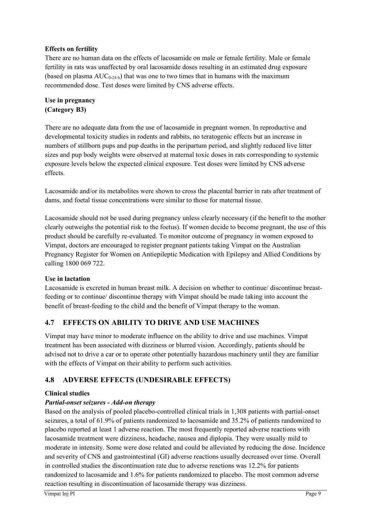## **Effects on fertility**

There are no human data on the effects of lacosamide on male or female fertility. Male or female fertility in rats was unaffected by oral lacosamide doses resulting in an estimated drug exposure (based on plasma  $AUC_{0-24h}$ ) that was one to two times that in humans with the maximum recommended dose. Test doses were limited by CNS adverse effects.

**Use in pregnancy (Category B3)**

There are no adequate data from the use of lacosamide in pregnant women. In reproductive and developmental toxicity studies in rodents and rabbits, no teratogenic effects but an increase in numbers of stillborn pups and pup deaths in the peripartum period, and slightly reduced live litter sizes and pup body weights were observed at maternal toxic doses in rats corresponding to systemic exposure levels below the expected clinical exposure. Test doses were limited by CNS adverse effects.

Lacosamide and/or its metabolites were shown to cross the placental barrier in rats after treatment of dams, and foetal tissue concentrations were similar to those for maternal tissue.

Lacosamide should not be used during pregnancy unless clearly necessary (if the benefit to the mother clearly outweighs the potential risk to the foetus). If women decide to become pregnant, the use of this product should be carefully re-evaluated. To monitor outcome of pregnancy in women exposed to Vimpat, doctors are encouraged to register pregnant patients taking Vimpat on the Australian Pregnancy Register for Women on Antiepileptic Medication with Epilepsy and Allied Conditions by calling 1800 069 722.

#### **Use in lactation**

Lacosamide is excreted in human breast milk. A decision on whether to continue/ discontinue breastfeeding or to continue/ discontinue therapy with Vimpat should be made taking into account the benefit of breast-feeding to the child and the benefit of Vimpat therapy to the woman.

# **4.7 EFFECTS ON ABILITY TO DRIVE AND USE MACHINES**

Vimpat may have minor to moderate influence on the ability to drive and use machines. Vimpat treatment has been associated with dizziness or blurred vision. Accordingly, patients should be advised not to drive a car or to operate other potentially hazardous machinery until they are familiar with the effects of Vimpat on their ability to perform such activities.

# **4.8 ADVERSE EFFECTS (UNDESIRABLE EFFECTS)**

# **Clinical studies**

# *Partial-onset seizures - Add-on therapy*

Based on the analysis of pooled placebo-controlled clinical trials in 1,308 patients with partial-onset seizures, a total of 61.9% of patients randomized to lacosamide and 35.2% of patients randomized to placebo reported at least 1 adverse reaction. The most frequently reported adverse reactions with lacosamide treatment were dizziness, headache, nausea and diplopia. They were usually mild to moderate in intensity. Some were dose related and could be alleviated by reducing the dose. Incidence and severity of CNS and gastrointestinal (GI) adverse reactions usually decreased over time. Overall in controlled studies the discontinuation rate due to adverse reactions was 12.2% for patients randomized to lacosamide and 1.6% for patients randomized to placebo. The most common adverse reaction resulting in discontinuation of lacosamide therapy was dizziness.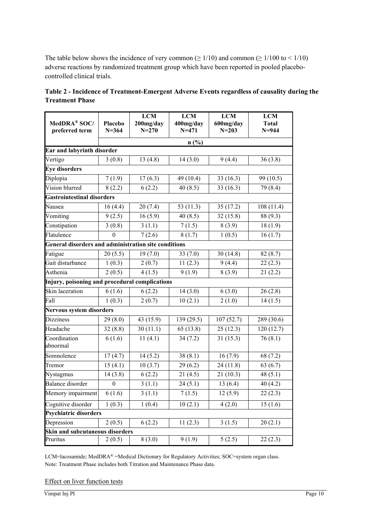The table below shows the incidence of very common ( $\geq 1/10$ ) and common ( $\geq 1/100$  to  $\leq 1/10$ ) adverse reactions by randomized treatment group which have been reported in pooled placebocontrolled clinical trials.

| MedDRA® SOC/<br>preferred term                              | Placebo<br>$N = 364$ | <b>LCM</b><br>200mg/day<br>$N = 270$ | <b>LCM</b><br>400mg/day<br>$N = 471$ | <b>LCM</b><br>600mg/day<br>$N = 203$ | <b>LCM</b><br><b>Total</b><br>$N = 944$ |
|-------------------------------------------------------------|----------------------|--------------------------------------|--------------------------------------|--------------------------------------|-----------------------------------------|
|                                                             |                      |                                      | n(%)                                 |                                      |                                         |
| Ear and labyrinth disorder                                  |                      |                                      |                                      |                                      |                                         |
| Vertigo                                                     | 3(0.8)               | 13(4.8)                              | 14(3.0)                              | 9(4.4)                               | 36(3.8)                                 |
| <b>Eye disorders</b>                                        |                      |                                      |                                      |                                      |                                         |
| Diplopia                                                    | 7(1.9)               | 17(6.3)                              | 49 (10.4)                            | 33(16.3)                             | 99 (10.5)                               |
| Vision blurred                                              | 8(2.2)               | 6(2.2)                               | 40(8.5)                              | 33(16.3)                             | 79 (8.4)                                |
| <b>Gastrointestinal disorders</b>                           |                      |                                      |                                      |                                      |                                         |
| Nausea                                                      | 16(4.4)              | 20(7.4)                              | 53 (11.3)                            | 35(17.2)                             | 108(11.4)                               |
| Vomiting                                                    | 9(2.5)               | 16(5.9)                              | 40(8.5)                              | 32(15.8)                             | 88 (9.3)                                |
| Constipation                                                | 3(0.8)               | 3(1.1)                               | 7(1.5)                               | 8(3.9)                               | 18(1.9)                                 |
| Flatulence                                                  | 0                    | 7(2.6)                               | 8(1.7)                               | 1(0.5)                               | 16(1.7)                                 |
| <b>General disorders and administration site conditions</b> |                      |                                      |                                      |                                      |                                         |
| Fatigue                                                     | 20(5.5)              | 19(7.0)                              | 33(7.0)                              | 30(14.8)                             | 82(8.7)                                 |
| Gait disturbance                                            | 1(0.3)               | 2(0.7)                               | 11(2.3)                              | 9(4.4)                               | 22(2.3)                                 |
| Asthenia                                                    | 2(0.5)               | 4(1.5)                               | 9(1.9)                               | 8(3.9)                               | 21(2.2)                                 |
| Injury, poisoning and procedural complications              |                      |                                      |                                      |                                      |                                         |
| Skin laceration                                             | 6(1.6)               | 6(2.2)                               | 14(3.0)                              | 6(3.0)                               | 26(2.8)                                 |
| Fall                                                        | 1(0.3)               | 2(0.7)                               | 10(2.1)                              | 2(1.0)                               | 14(1.5)                                 |
| Nervous system disorders                                    |                      |                                      |                                      |                                      |                                         |
| <b>Dizziness</b>                                            | 29(8.0)              | 43 (15.9)                            | 139 (29.5)                           | 107(52.7)                            | 289 (30.6)                              |
| Headache                                                    | 32(8.8)              | 30(11.1)                             | 65(13.8)                             | 25(12.3)                             | 120(12.7)                               |
| Coordination<br>abnormal                                    | 6(1.6)               | 11(4.1)                              | 34(7.2)                              | 31(15.3)                             | 76(8.1)                                 |
| Somnolence                                                  | 17(4.7)              | 14(5.2)                              | 38(8.1)                              | 16(7.9)                              | 68 (7.2)                                |
| Tremor                                                      | 15(4.1)              | 10(3.7)                              | 29(6.2)                              | 24 (11.8)                            | 63(6.7)                                 |
| Nystagmus                                                   | 14(3.8)              | 6(2.2)                               | 21(4.5)                              | 21(10.3)                             | 48(5.1)                                 |
| Balance disorder                                            | $\boldsymbol{0}$     | 3(1.1)                               | 24(5.1)                              | 13(6.4)                              | 40(4.2)                                 |
| Memory impairment                                           | 6(1.6)               | 3(1.1)                               | 7(1.5)                               | 12(5.9)                              | 22(2.3)                                 |
| Cognitive disorder                                          | 1(0.3)               | 1(0.4)                               | 10(2.1)                              | 4(2.0)                               | 15(1.6)                                 |
| <b>Psychiatric disorders</b>                                |                      |                                      |                                      |                                      |                                         |
| Depression                                                  | 2(0.5)               | 6(2.2)                               | 11(2.3)                              | 3(1.5)                               | 20(2.1)                                 |
| Skin and subcutaneous disorders                             |                      |                                      |                                      |                                      |                                         |
| Pruritus                                                    | 2(0.5)               | 8(3.0)                               | 9(1.9)                               | 5(2.5)                               | 22(2.3)                                 |

| Table 2 - Incidence of Treatment-Emergent Adverse Events regardless of causality during the |  |
|---------------------------------------------------------------------------------------------|--|
| <b>Treatment Phase</b>                                                                      |  |

LCM=lacosamide; MedDRA® =Medical Dictionary for Regulatory Activities; SOC=system organ class. Note: Treatment Phase includes both Titration and Maintenance Phase data.

#### Effect on liver function tests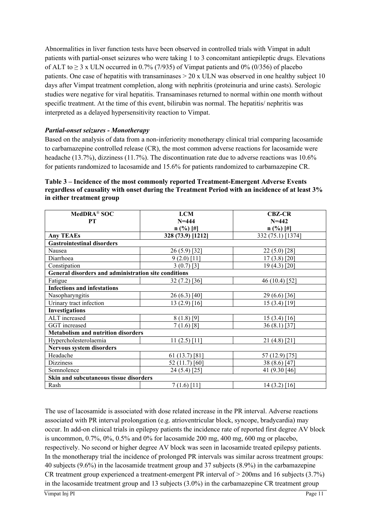Abnormalities in liver function tests have been observed in controlled trials with Vimpat in adult patients with partial-onset seizures who were taking 1 to 3 concomitant antiepileptic drugs. Elevations of ALT to  $\geq$  3 x ULN occurred in 0.7% (7/935) of Vimpat patients and 0% (0/356) of placebo patients. One case of hepatitis with transaminases  $> 20$  x ULN was observed in one healthy subject 10 days after Vimpat treatment completion, along with nephritis (proteinuria and urine casts). Serologic studies were negative for viral hepatitis. Transaminases returned to normal within one month without specific treatment. At the time of this event, bilirubin was normal. The hepatitis/ nephritis was interpreted as a delayed hypersensitivity reaction to Vimpat.

### *Partial-onset seizures - Monotherapy*

Based on the analysis of data from a non-inferiority monotherapy clinical trial comparing lacosamide to carbamazepine controlled release (CR), the most common adverse reactions for lacosamide were headache (13.7%), dizziness (11.7%). The discontinuation rate due to adverse reactions was 10.6% for patients randomized to lacosamide and 15.6% for patients randomized to carbamazepine CR.

| MedDRA <sup>®</sup> SOC                              | <b>LCM</b>        | <b>CBZ-CR</b>     |
|------------------------------------------------------|-------------------|-------------------|
|                                                      |                   |                   |
| <b>PT</b>                                            | $N = 444$         | $N = 442$         |
|                                                      | $n$ (%) [#]       | $n$ (%) [#]       |
| <b>Any TEAEs</b>                                     | 328 (73.9) [1212] | 332 (75.1) [1374] |
| <b>Gastrointestinal disorders</b>                    |                   |                   |
| Nausea                                               | 26 (5.9) [32]     | $22(5.0)$ [28]    |
| Diarrhoea                                            | $9(2.0)$ [11]     | $17(3.8)$ [20]    |
| Constipation                                         | $3(0.7)$ [3]      | 19 (4.3) [20]     |
| General disorders and administration site conditions |                   |                   |
| Fatigue                                              | $32(7.2)$ [36]    | 46 (10.4) [52]    |
| <b>Infections and infestations</b>                   |                   |                   |
| Nasopharyngitis                                      | 26 (6.3) [40]     | 29 (6.6) [36]     |
| Urinary tract infection                              | 13 $(2.9)$ [16]   | $15(3.4)$ [19]    |
| <b>Investigations</b>                                |                   |                   |
| ALT increased                                        | $8(1.8)$ [9]      | $15(3.4)$ [16]    |
| GGT increased                                        | $7(1.6)$ [8]      | $36(8.1)$ [37]    |
| <b>Metabolism and nutrition disorders</b>            |                   |                   |
| Hypercholesterolaemia                                | $11(2.5)$ [11]    | $21(4.8)$ [21]    |
| <b>Nervous system disorders</b>                      |                   |                   |
| Headache                                             | $61(13.7)$ [81]   | 57 (12.9) [75]    |
| <b>Dizziness</b>                                     | 52 (11.7) [60]    | 38 (8.6) [47]     |
| Somnolence                                           | 24 (5.4) [25]     | 41 (9.30 [46]     |
| Skin and subcutaneous tissue disorders               |                   |                   |
| Rash                                                 | $7(1.6)$ [11]     | $14(3.2)$ [16]    |

**Table 3 – Incidence of the most commonly reported Treatment-Emergent Adverse Events regardless of causality with onset during the Treatment Period with an incidence of at least 3% in either treatment group**

The use of lacosamide is associated with dose related increase in the PR interval. Adverse reactions associated with PR interval prolongation (e.g. atrioventricular block, syncope, bradycardia) may occur. In add-on clinical trials in epilepsy patients the incidence rate of reported first degree AV block is uncommon,  $0.7\%$ ,  $0\%$ ,  $0.5\%$  and  $0\%$  for lacosamide 200 mg, 400 mg, 600 mg or placebo, respectively. No second or higher degree AV block was seen in lacosamide treated epilepsy patients. In the monotherapy trial the incidence of prolonged PR intervals was similar across treatment groups: 40 subjects (9.6%) in the lacosamide treatment group and 37 subjects (8.9%) in the carbamazepine CR treatment group experienced a treatment-emergent PR interval of > 200ms and 16 subjects (3.7%) in the lacosamide treatment group and 13 subjects (3.0%) in the carbamazepine CR treatment group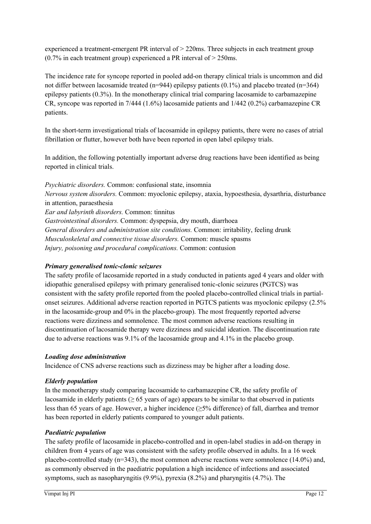experienced a treatment-emergent PR interval of > 220ms. Three subjects in each treatment group  $(0.7\%$  in each treatment group) experienced a PR interval of  $>$  250ms.

The incidence rate for syncope reported in pooled add-on therapy clinical trials is uncommon and did not differ between lacosamide treated (n=944) epilepsy patients  $(0.1\%)$  and placebo treated (n=364) epilepsy patients (0.3%). In the monotherapy clinical trial comparing lacosamide to carbamazepine CR, syncope was reported in 7/444 (1.6%) lacosamide patients and 1/442 (0.2%) carbamazepine CR patients.

In the short-term investigational trials of lacosamide in epilepsy patients, there were no cases of atrial fibrillation or flutter, however both have been reported in open label epilepsy trials.

In addition, the following potentially important adverse drug reactions have been identified as being reported in clinical trials.

*Psychiatric disorders.* Common: confusional state, insomnia *Nervous system disorders.* Common: myoclonic epilepsy, ataxia, hypoesthesia, dysarthria, disturbance in attention, paraesthesia *Ear and labyrinth disorders.* Common: tinnitus *Gastrointestinal disorders.* Common: dyspepsia, dry mouth, diarrhoea *General disorders and administration site conditions.* Common: irritability, feeling drunk *Musculoskeletal and connective tissue disorders.* Common: muscle spasms *Injury, poisoning and procedural complications.* Common: contusion

# *Primary generalised tonic-clonic seizures*

The safety profile of lacosamide reported in a study conducted in patients aged 4 years and older with idiopathic generalised epilepsy with primary generalised tonic-clonic seizures (PGTCS) was consistent with the safety profile reported from the pooled placebo-controlled clinical trials in partialonset seizures. Additional adverse reaction reported in PGTCS patients was myoclonic epilepsy (2.5% in the lacosamide-group and 0% in the placebo-group). The most frequently reported adverse reactions were dizziness and somnolence. The most common adverse reactions resulting in discontinuation of lacosamide therapy were dizziness and suicidal ideation. The discontinuation rate due to adverse reactions was 9.1% of the lacosamide group and 4.1% in the placebo group.

#### *Loading dose administration*

Incidence of CNS adverse reactions such as dizziness may be higher after a loading dose.

#### *Elderly population*

In the monotherapy study comparing lacosamide to carbamazepine CR, the safety profile of lacosamide in elderly patients ( $\geq 65$  years of age) appears to be similar to that observed in patients less than 65 years of age. However, a higher incidence (≥5% difference) of fall, diarrhea and tremor has been reported in elderly patients compared to younger adult patients.

# *Paediatric population*

The safety profile of lacosamide in placebo-controlled and in open-label studies in add-on therapy in children from 4 years of age was consistent with the safety profile observed in adults. In a 16 week placebo-controlled study (n=343), the most common adverse reactions were somnolence (14.0%) and, as commonly observed in the paediatric population a high incidence of infections and associated symptoms, such as nasopharyngitis (9.9%), pyrexia (8.2%) and pharyngitis (4.7%). The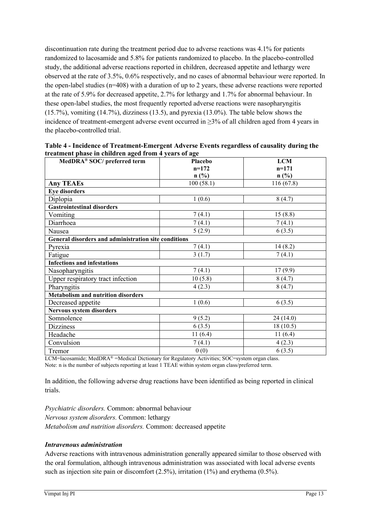discontinuation rate during the treatment period due to adverse reactions was 4.1% for patients randomized to lacosamide and 5.8% for patients randomized to placebo. In the placebo-controlled study, the additional adverse reactions reported in children, decreased appetite and lethargy were observed at the rate of 3.5%, 0.6% respectively, and no cases of abnormal behaviour were reported. In the open-label studies (n=408) with a duration of up to 2 years, these adverse reactions were reported at the rate of 5.9% for decreased appetite, 2.7% for lethargy and 1.7% for abnormal behaviour. In these open-label studies, the most frequently reported adverse reactions were nasopharyngitis (15.7%), vomiting (14.7%), dizziness (13.5), and pyrexia (13.0%). The table below shows the incidence of treatment-emergent adverse event occurred in ≥3% of all children aged from 4 years in the placebo-controlled trial.

| MedDRA® SOC/ preferred term                          | Placebo   | <b>LCM</b> |
|------------------------------------------------------|-----------|------------|
|                                                      | $n=172$   | $n=171$    |
|                                                      | n(%)      | n(%)       |
| <b>Any TEAEs</b>                                     | 100(58.1) | 116(67.8)  |
| <b>Eye disorders</b>                                 |           |            |
| Diplopia                                             | 1(0.6)    | 8(4.7)     |
| <b>Gastrointestinal disorders</b>                    |           |            |
| Vomiting                                             | 7(4.1)    | 15(8.8)    |
| Diarrhoea                                            | 7(4.1)    | 7(4.1)     |
| Nausea                                               | 5(2.9)    | 6(3.5)     |
| General disorders and administration site conditions |           |            |
| Pyrexia                                              | 7(4.1)    | 14(8.2)    |
| Fatigue                                              | 3(1.7)    | 7(4.1)     |
| <b>Infections and infestations</b>                   |           |            |
| Nasopharyngitis                                      | 7(4.1)    | 17(9.9)    |
| Upper respiratory tract infection                    | 10(5.8)   | 8(4.7)     |
| Pharyngitis                                          | 4(2.3)    | 8(4.7)     |
| <b>Metabolism and nutrition disorders</b>            |           |            |
| Decreased appetite                                   | 1(0.6)    | 6(3.5)     |
| Nervous system disorders                             |           |            |
| Somnolence                                           | 9(5.2)    | 24 (14.0)  |
| <b>Dizziness</b>                                     | 6(3.5)    | 18(10.5)   |
| Headache                                             | 11(6.4)   | 11(6.4)    |
| Convulsion                                           | 7(4.1)    | 4(2.3)     |
| Tremor                                               | 0(0)      | 6(3.5)     |

**Table 4 - Incidence of Treatment-Emergent Adverse Events regardless of causality during the treatment phase in children aged from 4 years of age**

LCM=lacosamide; MedDRA<sup>®</sup> =Medical Dictionary for Regulatory Activities; SOC=system organ class. Note: n is the number of subjects reporting at least 1 TEAE within system organ class/preferred term.

In addition, the following adverse drug reactions have been identified as being reported in clinical trials.

*Psychiatric disorders.* Common: abnormal behaviour *Nervous system disorders.* Common: lethargy *Metabolism and nutrition disorders.* Common: decreased appetite

#### *Intravenous administration*

Adverse reactions with intravenous administration generally appeared similar to those observed with the oral formulation, although intravenous administration was associated with local adverse events such as injection site pain or discomfort  $(2.5\%)$ , irritation  $(1\%)$  and erythema  $(0.5\%)$ .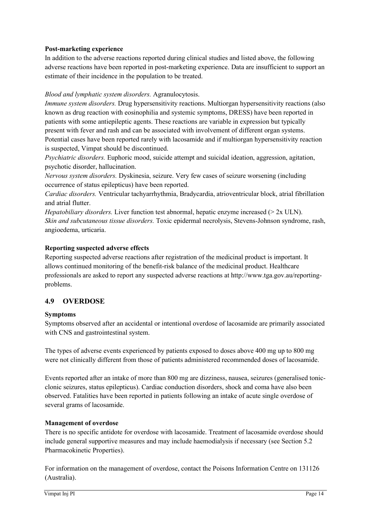#### **Post-marketing experience**

In addition to the adverse reactions reported during clinical studies and listed above, the following adverse reactions have been reported in post-marketing experience. Data are insufficient to support an estimate of their incidence in the population to be treated.

### *Blood and lymphatic system disorders.* Agranulocytosis.

*Immune system disorders.* Drug hypersensitivity reactions. Multiorgan hypersensitivity reactions (also known as drug reaction with eosinophilia and systemic symptoms, DRESS) have been reported in patients with some antiepileptic agents. These reactions are variable in expression but typically present with fever and rash and can be associated with involvement of different organ systems. Potential cases have been reported rarely with lacosamide and if multiorgan hypersensitivity reaction is suspected, Vimpat should be discontinued.

*Psychiatric disorders.* Euphoric mood, suicide attempt and suicidal ideation, aggression, agitation, psychotic disorder, hallucination.

*Nervous system disorders.* Dyskinesia, seizure. Very few cases of seizure worsening (including occurrence of status epilepticus) have been reported.

*Cardiac disorders.* Ventricular tachyarrhythmia, Bradycardia, atrioventricular block, atrial fibrillation and atrial flutter.

*Hepatobiliary disorders.* Liver function test abnormal, hepatic enzyme increased (> 2x ULN). *Skin and subcutaneous tissue disorders.* Toxic epidermal necrolysis, Stevens-Johnson syndrome, rash, angioedema, urticaria.

#### **Reporting suspected adverse effects**

Reporting suspected adverse reactions after registration of the medicinal product is important. It allows continued monitoring of the benefit-risk balance of the medicinal product. Healthcare professionals are asked to report any suspected adverse reactions at http://www.tga.gov.au/reportingproblems.

# **4.9 OVERDOSE**

#### **Symptoms**

Symptoms observed after an accidental or intentional overdose of lacosamide are primarily associated with CNS and gastrointestinal system.

The types of adverse events experienced by patients exposed to doses above 400 mg up to 800 mg were not clinically different from those of patients administered recommended doses of lacosamide.

Events reported after an intake of more than 800 mg are dizziness, nausea, seizures (generalised tonicclonic seizures, status epilepticus). Cardiac conduction disorders, shock and coma have also been observed. Fatalities have been reported in patients following an intake of acute single overdose of several grams of lacosamide.

#### **Management of overdose**

There is no specific antidote for overdose with lacosamide. Treatment of lacosamide overdose should include general supportive measures and may include haemodialysis if necessary (see Section 5.2 Pharmacokinetic Properties).

For information on the management of overdose, contact the Poisons Information Centre on 131126 (Australia).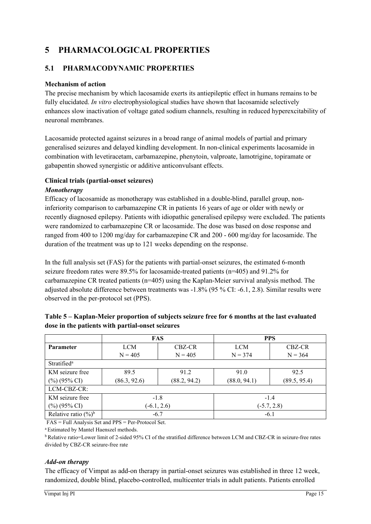# **5 PHARMACOLOGICAL PROPERTIES**

# **5.1 PHARMACODYNAMIC PROPERTIES**

## **Mechanism of action**

The precise mechanism by which lacosamide exerts its antiepileptic effect in humans remains to be fully elucidated. *In vitro* electrophysiological studies have shown that lacosamide selectively enhances slow inactivation of voltage gated sodium channels, resulting in reduced hyperexcitability of neuronal membranes.

Lacosamide protected against seizures in a broad range of animal models of partial and primary generalised seizures and delayed kindling development. In non-clinical experiments lacosamide in combination with levetiracetam, carbamazepine, phenytoin, valproate, lamotrigine, topiramate or gabapentin showed synergistic or additive anticonvulsant effects.

### **Clinical trials (partial-onset seizures)**

#### *Monotherapy*

Efficacy of lacosamide as monotherapy was established in a double-blind, parallel group, noninferiority comparison to carbamazepine CR in patients 16 years of age or older with newly or recently diagnosed epilepsy. Patients with idiopathic generalised epilepsy were excluded. The patients were randomized to carbamazepine CR or lacosamide. The dose was based on dose response and ranged from 400 to 1200 mg/day for carbamazepine CR and 200 - 600 mg/day for lacosamide. The duration of the treatment was up to 121 weeks depending on the response.

In the full analysis set (FAS) for the patients with partial-onset seizures, the estimated 6-month seizure freedom rates were 89.5% for lacosamide-treated patients (n=405) and 91.2% for carbamazepine CR treated patients (n=405) using the Kaplan-Meier survival analysis method. The adjusted absolute difference between treatments was -1.8% (95 % CI: -6.1, 2.8). Similar results were observed in the per-protocol set (PPS).

|                         | <b>FAS</b>    |              | <b>PPS</b>    |              |  |  |
|-------------------------|---------------|--------------|---------------|--------------|--|--|
| <b>Parameter</b>        | <b>LCM</b>    | CBZ-CR       | <b>LCM</b>    | CBZ-CR       |  |  |
|                         | $N = 405$     | $N = 405$    | $N = 374$     | $N = 364$    |  |  |
| Stratified <sup>a</sup> |               |              |               |              |  |  |
| KM seizure free         | 89.5          | 91.2         | 91.0          | 92.5         |  |  |
| $(\%)(95\% \text{ CI})$ | (86.3, 92.6)  | (88.2, 94.2) | (88.0, 94.1)  | (89.5, 95.4) |  |  |
| LCM-CBZ-CR:             |               |              |               |              |  |  |
| KM seizure free         | $-1.8$        |              | $-1.4$        |              |  |  |
| $(\%)(95\% \text{ CI})$ | $(-6.1, 2.6)$ |              | $(-5.7, 2.8)$ |              |  |  |
| Relative ratio $(\%)^b$ | $-6.7$        |              | $-6.1$        |              |  |  |

### **Table 5 – Kaplan-Meier proportion of subjects seizure free for 6 months at the last evaluated dose in the patients with partial-onset seizures**

FAS = Full Analysis Set and PPS = Per-Protocol Set.

a Estimated by Mantel Haenszel methods.

b Relative ratio=Lower limit of 2-sided 95% CI of the stratified difference between LCM and CBZ-CR in seizure-free rates divided by CBZ-CR seizure-free rate

# *Add-on therapy*

The efficacy of Vimpat as add-on therapy in partial-onset seizures was established in three 12 week, randomized, double blind, placebo-controlled, multicenter trials in adult patients. Patients enrolled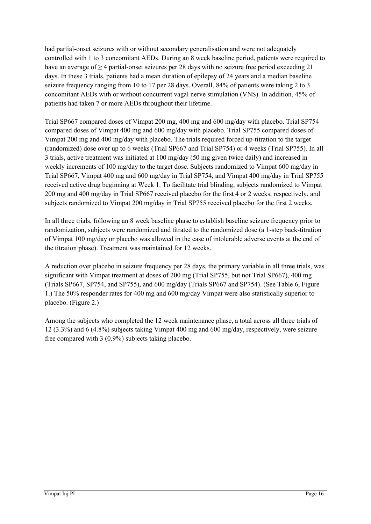had partial-onset seizures with or without secondary generalisation and were not adequately controlled with 1 to 3 concomitant AEDs. During an 8 week baseline period, patients were required to have an average of  $\geq$  4 partial-onset seizures per 28 days with no seizure free period exceeding 21 days. In these 3 trials, patients had a mean duration of epilepsy of 24 years and a median baseline seizure frequency ranging from 10 to 17 per 28 days. Overall, 84% of patients were taking 2 to 3 concomitant AEDs with or without concurrent vagal nerve stimulation (VNS). In addition, 45% of patients had taken 7 or more AEDs throughout their lifetime.

Trial SP667 compared doses of Vimpat 200 mg, 400 mg and 600 mg/day with placebo. Trial SP754 compared doses of Vimpat 400 mg and 600 mg/day with placebo. Trial SP755 compared doses of Vimpat 200 mg and 400 mg/day with placebo. The trials required forced up-titration to the target (randomized) dose over up to 6 weeks (Trial SP667 and Trial SP754) or 4 weeks (Trial SP755). In all 3 trials, active treatment was initiated at 100 mg/day (50 mg given twice daily) and increased in weekly increments of 100 mg/day to the target dose. Subjects randomized to Vimpat 600 mg/day in Trial SP667, Vimpat 400 mg and 600 mg/day in Trial SP754, and Vimpat 400 mg/day in Trial SP755 received active drug beginning at Week 1. To facilitate trial blinding, subjects randomized to Vimpat 200 mg and 400 mg/day in Trial SP667 received placebo for the first 4 or 2 weeks, respectively, and subjects randomized to Vimpat 200 mg/day in Trial SP755 received placebo for the first 2 weeks.

In all three trials, following an 8 week baseline phase to establish baseline seizure frequency prior to randomization, subjects were randomized and titrated to the randomized dose (a 1-step back-titration of Vimpat 100 mg/day or placebo was allowed in the case of intolerable adverse events at the end of the titration phase). Treatment was maintained for 12 weeks.

A reduction over placebo in seizure frequency per 28 days, the primary variable in all three trials, was significant with Vimpat treatment at doses of 200 mg (Trial SP755, but not Trial SP667), 400 mg (Trials SP667, SP754, and SP755), and 600 mg/day (Trials SP667 and SP754). (See Table 6, Figure 1.) The 50% responder rates for 400 mg and 600 mg/day Vimpat were also statistically superior to placebo. (Figure 2.)

Among the subjects who completed the 12 week maintenance phase, a total across all three trials of 12 (3.3%) and 6 (4.8%) subjects taking Vimpat 400 mg and 600 mg/day, respectively, were seizure free compared with 3 (0.9%) subjects taking placebo.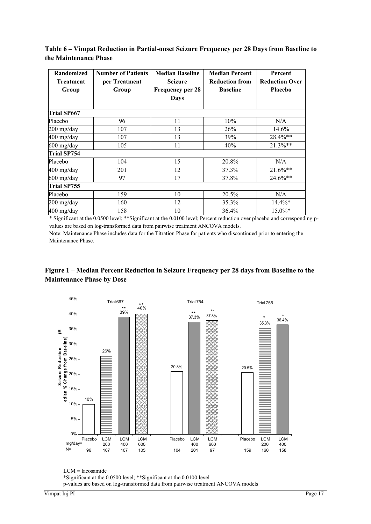| <b>Randomized</b><br><b>Treatment</b><br>Group | <b>Number of Patients</b><br>per Treatment<br>Group | <b>Median Baseline</b><br><b>Seizure</b><br><b>Frequency per 28</b><br>Days | <b>Median Percent</b><br><b>Reduction from</b><br><b>Baseline</b> | Percent<br><b>Reduction Over</b><br><b>Placebo</b> |
|------------------------------------------------|-----------------------------------------------------|-----------------------------------------------------------------------------|-------------------------------------------------------------------|----------------------------------------------------|
| <b>Trial SP667</b>                             |                                                     |                                                                             |                                                                   |                                                    |
| Placebo                                        | 96                                                  | 11                                                                          | 10%                                                               | N/A                                                |
| 200 mg/day                                     | 107                                                 | 13                                                                          | 26%                                                               | 14.6%                                              |
| 400 mg/day                                     | 107                                                 | 13                                                                          | 39%                                                               | 28.4%**                                            |
| 600 mg/day                                     | 105                                                 | 11                                                                          | 40%                                                               | $21.3\%**$                                         |
| <b>Trial SP754</b>                             |                                                     |                                                                             |                                                                   |                                                    |
| Placebo                                        | 104                                                 | 15                                                                          | 20.8%                                                             | N/A                                                |
| 400 mg/day                                     | 201                                                 | 12                                                                          | 37.3%                                                             | $21.6\%$ **                                        |
| 600 mg/day                                     | 97                                                  | 17                                                                          | 37.8%                                                             | $24.6\%**$                                         |
| Trial SP755                                    |                                                     |                                                                             |                                                                   |                                                    |
| Placebo                                        | 159                                                 | 10                                                                          | 20.5%                                                             | N/A                                                |
| 200 mg/day                                     | 160                                                 | 12                                                                          | 35.3%                                                             | $14.4\%*$                                          |
| 400 mg/day                                     | 158                                                 | 10                                                                          | 36.4%                                                             | $15.0\%*$                                          |

**Table 6 – Vimpat Reduction in Partial-onset Seizure Frequency per 28 Days from Baseline to the Maintenance Phase**

\* Significant at the 0.0500 level; \*\*Significant at the 0.0100 level; Percent reduction over placebo and corresponding pvalues are based on log-transformed data from pairwise treatment ANCOVA models.

Note: Maintenance Phase includes data for the Titration Phase for patients who discontinued prior to entering the Maintenance Phase.

# **Figure 1 – Median Percent Reduction in Seizure Frequency per 28 days from Baseline to the Maintenance Phase by Dose**



LCM = lacosamide \*Significant at the 0.0500 level; \*\*Significant at the 0.0100 level p-values are based on log-transformed data from pairwise treatment ANCOVA models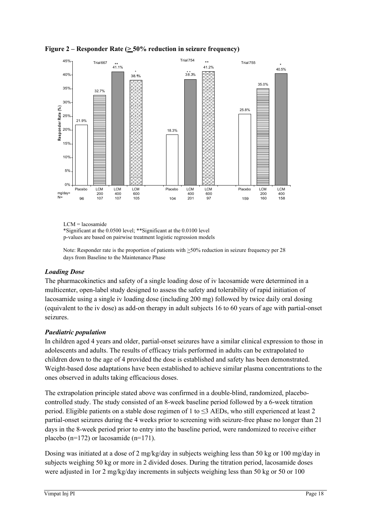**Figure 2 – Responder Rate (** $\geq$  **50% reduction in seizure frequency)** 



LCM = lacosamide

\*Significant at the 0.0500 level; \*\*Significant at the 0.0100 level

p-values are based on pairwise treatment logistic regression models

Note: Responder rate is the proportion of patients with  $\geq$ 50% reduction in seizure frequency per 28 days from Baseline to the Maintenance Phase

# *Loading Dose*

The pharmacokinetics and safety of a single loading dose of iv lacosamide were determined in a multicenter, open-label study designed to assess the safety and tolerability of rapid initiation of lacosamide using a single iv loading dose (including 200 mg) followed by twice daily oral dosing (equivalent to the iv dose) as add-on therapy in adult subjects 16 to 60 years of age with partial-onset seizures.

# *Paediatric population*

In children aged 4 years and older, partial-onset seizures have a similar clinical expression to those in adolescents and adults. The results of efficacy trials performed in adults can be extrapolated to children down to the age of 4 provided the dose is established and safety has been demonstrated. Weight-based dose adaptations have been established to achieve similar plasma concentrations to the ones observed in adults taking efficacious doses.

The extrapolation principle stated above was confirmed in a double-blind, randomized, placebocontrolled study. The study consisted of an 8-week baseline period followed by a 6-week titration period. Eligible patients on a stable dose regimen of 1 to  $\leq$ 3 AEDs, who still experienced at least 2 partial-onset seizures during the 4 weeks prior to screening with seizure-free phase no longer than 21 days in the 8-week period prior to entry into the baseline period, were randomized to receive either placebo (n=172) or lacosamide (n=171).

Dosing was initiated at a dose of 2 mg/kg/day in subjects weighing less than 50 kg or 100 mg/day in subjects weighing 50 kg or more in 2 divided doses. During the titration period, lacosamide doses were adjusted in 1or 2 mg/kg/day increments in subjects weighing less than 50 kg or 50 or 100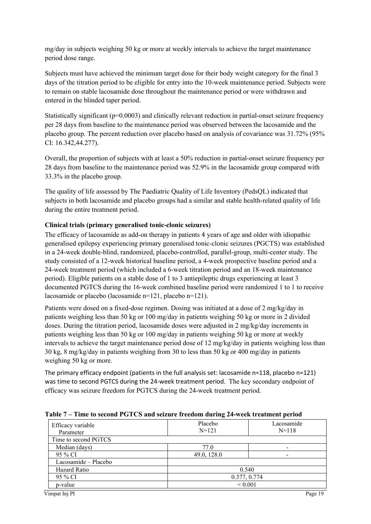mg/day in subjects weighing 50 kg or more at weekly intervals to achieve the target maintenance period dose range.

Subjects must have achieved the minimum target dose for their body weight category for the final 3 days of the titration period to be eligible for entry into the 10-week maintenance period. Subjects were to remain on stable lacosamide dose throughout the maintenance period or were withdrawn and entered in the blinded taper period.

Statistically significant ( $p=0.0003$ ) and clinically relevant reduction in partial-onset seizure frequency per 28 days from baseline to the maintenance period was observed between the lacosamide and the placebo group. The percent reduction over placebo based on analysis of covariance was 31.72% (95% CI: 16.342,44.277).

Overall, the proportion of subjects with at least a 50% reduction in partial-onset seizure frequency per 28 days from baseline to the maintenance period was 52.9% in the lacosamide group compared with 33.3% in the placebo group.

The quality of life assessed by The Paediatric Quality of Life Inventory (PedsQL) indicated that subjects in both lacosamide and placebo groups had a similar and stable health-related quality of life during the entire treatment period.

### **Clinical trials (primary generalised tonic-clonic seizures)**

The efficacy of lacosamide as add-on therapy in patients 4 years of age and older with idiopathic generalised epilepsy experiencing primary generalised tonic-clonic seizures (PGCTS) was established in a 24-week double-blind, randomized, placebo-controlled, parallel-group, multi-center study. The study consisted of a 12-week historical baseline period, a 4-week prospective baseline period and a 24-week treatment period (which included a 6-week titration period and an 18-week maintenance period). Eligible patients on a stable dose of 1 to 3 antiepileptic drugs experiencing at least 3 documented PGTCS during the 16-week combined baseline period were randomized 1 to 1 to receive lacosamide or placebo (lacosamide n=121, placebo n=121).

Patients were dosed on a fixed-dose regimen. Dosing was initiated at a dose of 2 mg/kg/day in patients weighing less than 50 kg or 100 mg/day in patients weighing 50 kg or more in 2 divided doses. During the titration period, lacosamide doses were adjusted in 2 mg/kg/day increments in patients weighing less than 50 kg or 100 mg/day in patients weighing 50 kg or more at weekly intervals to achieve the target maintenance period dose of 12 mg/kg/day in patients weighing less than 30 kg, 8 mg/kg/day in patients weighing from 30 to less than 50 kg or 400 mg/day in patients weighing 50 kg or more.

The primary efficacy endpoint (patients in the full analysis set: lacosamide n=118, placebo n=121) was time to second PGTCS during the 24-week treatment period. The key secondary endpoint of efficacy was seizure freedom for PGTCS during the 24-week treatment period.

| Efficacy variable<br>Parameter | Placebo<br>$N = 121$ | Lacosamide<br>$N = 118$ |
|--------------------------------|----------------------|-------------------------|
| Time to second PGTCS           |                      |                         |
| Median (days)                  | 77.0                 |                         |
| 95 % CI                        | 49.0, 128.0          |                         |
| Lacosamide – Placebo           |                      |                         |
| Hazard Ratio                   | 0.540                |                         |
| 95 % CI                        | 0.377, 0.774         |                         |
| p-value                        | ${}_{0.001}$         |                         |

**Table 7 – Time to second PGTCS and seizure freedom during 24-week treatment period**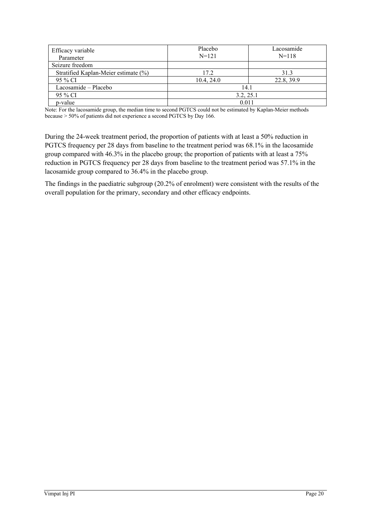| Efficacy variable<br>Parameter       | Placebo<br>$N=121$ | Lacosamide<br>$N = 118$ |
|--------------------------------------|--------------------|-------------------------|
| Seizure freedom                      |                    |                         |
| Stratified Kaplan-Meier estimate (%) | 17.2               | 31.3                    |
| 95 % CI                              | 10.4, 24.0         | 22.8, 39.9              |
| Lacosamide – Placebo                 | 14.1               |                         |
| 95 % CI                              | 3.2, 25.1          |                         |
| p-value                              | 0.011              |                         |

Note: For the lacosamide group, the median time to second PGTCS could not be estimated by Kaplan-Meier methods because ˃ 50% of patients did not experience a second PGTCS by Day 166.

During the 24-week treatment period, the proportion of patients with at least a 50% reduction in PGTCS frequency per 28 days from baseline to the treatment period was 68.1% in the lacosamide group compared with 46.3% in the placebo group; the proportion of patients with at least a 75% reduction in PGTCS frequency per 28 days from baseline to the treatment period was 57.1% in the lacosamide group compared to 36.4% in the placebo group.

The findings in the paediatric subgroup (20.2% of enrolment) were consistent with the results of the overall population for the primary, secondary and other efficacy endpoints.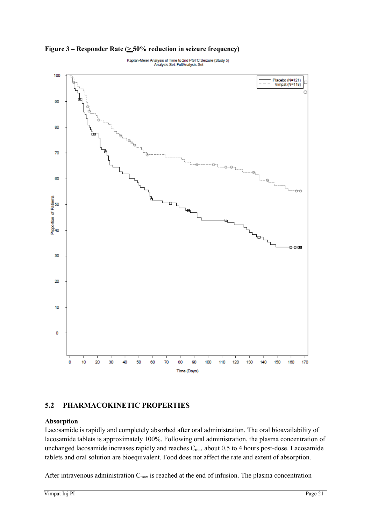

Figure  $3$  – Responder Rate ( $\geq$  50% reduction in seizure frequency)

# **5.2 PHARMACOKINETIC PROPERTIES**

#### **Absorption**

Lacosamide is rapidly and completely absorbed after oral administration. The oral bioavailability of lacosamide tablets is approximately 100%. Following oral administration, the plasma concentration of unchanged lacosamide increases rapidly and reaches C<sub>max</sub> about 0.5 to 4 hours post-dose. Lacosamide tablets and oral solution are bioequivalent. Food does not affect the rate and extent of absorption.

After intravenous administration C<sub>max</sub> is reached at the end of infusion. The plasma concentration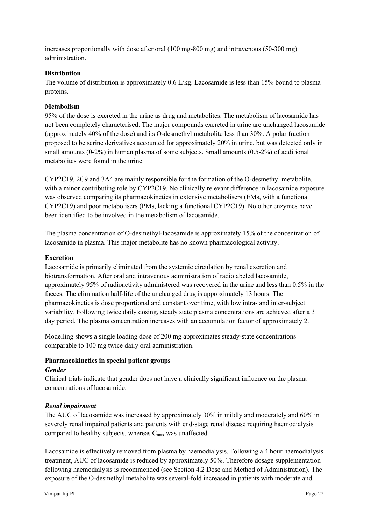increases proportionally with dose after oral (100 mg-800 mg) and intravenous (50-300 mg) administration.

### **Distribution**

The volume of distribution is approximately 0.6 L/kg. Lacosamide is less than 15% bound to plasma proteins.

## **Metabolism**

95% of the dose is excreted in the urine as drug and metabolites. The metabolism of lacosamide has not been completely characterised. The major compounds excreted in urine are unchanged lacosamide (approximately 40% of the dose) and its O-desmethyl metabolite less than 30%. A polar fraction proposed to be serine derivatives accounted for approximately 20% in urine, but was detected only in small amounts (0-2%) in human plasma of some subjects. Small amounts (0.5-2%) of additional metabolites were found in the urine.

CYP2C19, 2C9 and 3A4 are mainly responsible for the formation of the O-desmethyl metabolite, with a minor contributing role by CYP2C19. No clinically relevant difference in lacosamide exposure was observed comparing its pharmacokinetics in extensive metabolisers (EMs, with a functional CYP2C19) and poor metabolisers (PMs, lacking a functional CYP2C19). No other enzymes have been identified to be involved in the metabolism of lacosamide.

The plasma concentration of O-desmethyl-lacosamide is approximately 15% of the concentration of lacosamide in plasma. This major metabolite has no known pharmacological activity.

### **Excretion**

Lacosamide is primarily eliminated from the systemic circulation by renal excretion and biotransformation. After oral and intravenous administration of radiolabeled lacosamide, approximately 95% of radioactivity administered was recovered in the urine and less than 0.5% in the faeces. The elimination half-life of the unchanged drug is approximately 13 hours. The pharmacokinetics is dose proportional and constant over time, with low intra- and inter-subject variability. Following twice daily dosing, steady state plasma concentrations are achieved after a 3 day period. The plasma concentration increases with an accumulation factor of approximately 2.

Modelling shows a single loading dose of 200 mg approximates steady-state concentrations comparable to 100 mg twice daily oral administration.

# **Pharmacokinetics in special patient groups**

#### *Gender*

Clinical trials indicate that gender does not have a clinically significant influence on the plasma concentrations of lacosamide.

#### *Renal impairment*

The AUC of lacosamide was increased by approximately 30% in mildly and moderately and 60% in severely renal impaired patients and patients with end-stage renal disease requiring haemodialysis compared to healthy subjects, whereas  $C_{\text{max}}$  was unaffected.

Lacosamide is effectively removed from plasma by haemodialysis. Following a 4 hour haemodialysis treatment, AUC of lacosamide is reduced by approximately 50%. Therefore dosage supplementation following haemodialysis is recommended (see Section 4.2 Dose and Method of Administration). The exposure of the O-desmethyl metabolite was several-fold increased in patients with moderate and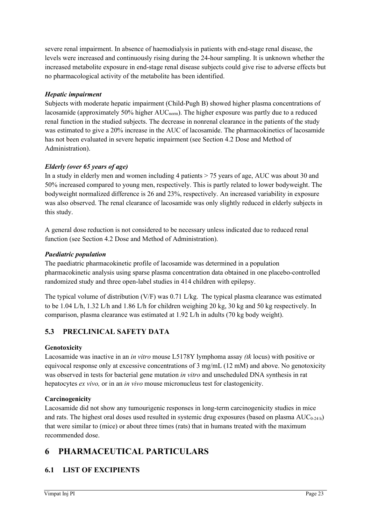severe renal impairment. In absence of haemodialysis in patients with end-stage renal disease, the levels were increased and continuously rising during the 24-hour sampling. It is unknown whether the increased metabolite exposure in end-stage renal disease subjects could give rise to adverse effects but no pharmacological activity of the metabolite has been identified.

# *Hepatic impairment*

Subjects with moderate hepatic impairment (Child-Pugh B) showed higher plasma concentrations of lacosamide (approximately  $50\%$  higher  $AUC_{norm}$ ). The higher exposure was partly due to a reduced renal function in the studied subjects. The decrease in nonrenal clearance in the patients of the study was estimated to give a 20% increase in the AUC of lacosamide. The pharmacokinetics of lacosamide has not been evaluated in severe hepatic impairment (see Section 4.2 Dose and Method of Administration).

# *Elderly (over 65 years of age)*

In a study in elderly men and women including 4 patients > 75 years of age, AUC was about 30 and 50% increased compared to young men, respectively. This is partly related to lower bodyweight. The bodyweight normalized difference is 26 and 23%, respectively. An increased variability in exposure was also observed. The renal clearance of lacosamide was only slightly reduced in elderly subjects in this study.

A general dose reduction is not considered to be necessary unless indicated due to reduced renal function (see Section 4.2 Dose and Method of Administration).

# *Paediatric population*

The paediatric pharmacokinetic profile of lacosamide was determined in a population pharmacokinetic analysis using sparse plasma concentration data obtained in one placebo-controlled randomized study and three open-label studies in 414 children with epilepsy.

The typical volume of distribution (V/F) was 0.71 L/kg. The typical plasma clearance was estimated to be 1.04 L/h, 1.32 L/h and 1.86 L/h for children weighing 20 kg, 30 kg and 50 kg respectively. In comparison, plasma clearance was estimated at 1.92 L/h in adults (70 kg body weight).

# **5.3 PRECLINICAL SAFETY DATA**

# **Genotoxicity**

Lacosamide was inactive in an *in vitro* mouse L5178Y lymphoma assay *(tk* locus) with positive or equivocal response only at excessive concentrations of 3 mg/mL (12 mM) and above. No genotoxicity was observed in tests for bacterial gene mutation *in vitro* and unscheduled DNA synthesis in rat hepatocytes *ex vivo,* or in an *in vivo* mouse micronucleus test for clastogenicity.

# **Carcinogenicity**

Lacosamide did not show any tumourigenic responses in long-term carcinogenicity studies in mice and rats. The highest oral doses used resulted in systemic drug exposures (based on plasma  $AUC_{0-24h}$ ) that were similar to (mice) or about three times (rats) that in humans treated with the maximum recommended dose.

# **6 PHARMACEUTICAL PARTICULARS**

# **6.1 LIST OF EXCIPIENTS**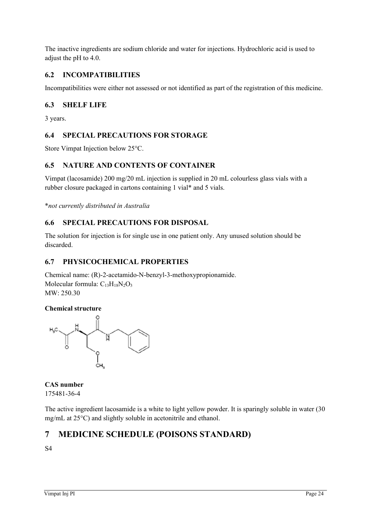The inactive ingredients are sodium chloride and water for injections. Hydrochloric acid is used to adjust the pH to 4.0.

# **6.2 INCOMPATIBILITIES**

Incompatibilities were either not assessed or not identified as part of the registration of this medicine.

# **6.3 SHELF LIFE**

3 years.

# **6.4 SPECIAL PRECAUTIONS FOR STORAGE**

Store Vimpat Injection below 25°C.

# **6.5 NATURE AND CONTENTS OF CONTAINER**

Vimpat (lacosamide) 200 mg/20 mL injection is supplied in 20 mL colourless glass vials with a rubber closure packaged in cartons containing 1 vial\* and 5 vials.

\**not currently distributed in Australia*

# **6.6 SPECIAL PRECAUTIONS FOR DISPOSAL**

The solution for injection is for single use in one patient only. Any unused solution should be discarded.

# **6.7 PHYSICOCHEMICAL PROPERTIES**

Chemical name: (R)-2-acetamido-N-benzyl-3-methoxypropionamide. Molecular formula:  $C_{13}H_{18}N_2O_3$ MW: 250.30

# **Chemical structure**



**CAS number** 175481-36-4

The active ingredient lacosamide is a white to light yellow powder. It is sparingly soluble in water (30 mg/mL at 25°C) and slightly soluble in acetonitrile and ethanol.

# **7 MEDICINE SCHEDULE (POISONS STANDARD)**

S4